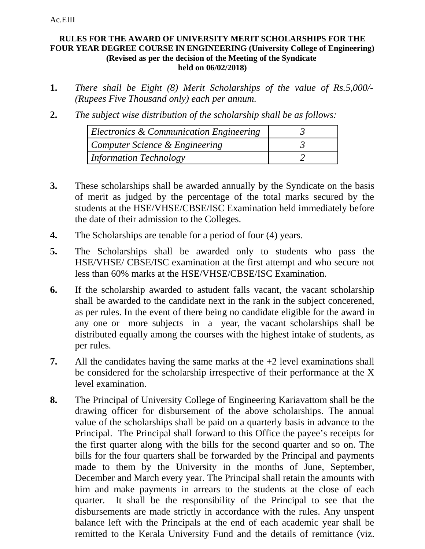## Ac.EIII

## **RULES FOR THE AWARD OF UNIVERSITY MERIT SCHOLARSHIPS FOR THE FOUR YEAR DEGREE COURSE IN ENGINEERING (University College of Engineering) (Revised as per the decision of the Meeting of the Syndicate held on 06/02/2018)**

- **1.** *There shall be Eight (8) Merit Scholarships of the value of Rs.5,000/- (Rupees Five Thousand only) each per annum.*
- **2.** *The subject wise distribution of the scholarship shall be as follows:*

| Electronics & Communication Engineering |  |
|-----------------------------------------|--|
| Computer Science & Engineering          |  |
| <b>Information Technology</b>           |  |

- **3.** These scholarships shall be awarded annually by the Syndicate on the basis of merit as judged by the percentage of the total marks secured by the students at the HSE/VHSE/CBSE/ISC Examination held immediately before the date of their admission to the Colleges.
- **4.** The Scholarships are tenable for a period of four (4) years.
- **5.** The Scholarships shall be awarded only to students who pass the HSE/VHSE/ CBSE/ISC examination at the first attempt and who secure not less than 60% marks at the HSE/VHSE/CBSE/ISC Examination.
- **6.** If the scholarship awarded to astudent falls vacant, the vacant scholarship shall be awarded to the candidate next in the rank in the subject concerened, as per rules. In the event of there being no candidate eligible for the award in any one or more subjects in a year, the vacant scholarships shall be distributed equally among the courses with the highest intake of students, as per rules.
- **7.** All the candidates having the same marks at the +2 level examinations shall be considered for the scholarship irrespective of their performance at the X level examination.
- **8.** The Principal of University College of Engineering Kariavattom shall be the drawing officer for disbursement of the above scholarships. The annual value of the scholarships shall be paid on a quarterly basis in advance to the Principal. The Principal shall forward to this Office the payee's receipts for the first quarter along with the bills for the second quarter and so on. The bills for the four quarters shall be forwarded by the Principal and payments made to them by the University in the months of June, September, December and March every year. The Principal shall retain the amounts with him and make payments in arrears to the students at the close of each quarter. It shall be the responsibility of the Principal to see that the disbursements are made strictly in accordance with the rules. Any unspent balance left with the Principals at the end of each academic year shall be remitted to the Kerala University Fund and the details of remittance (viz.